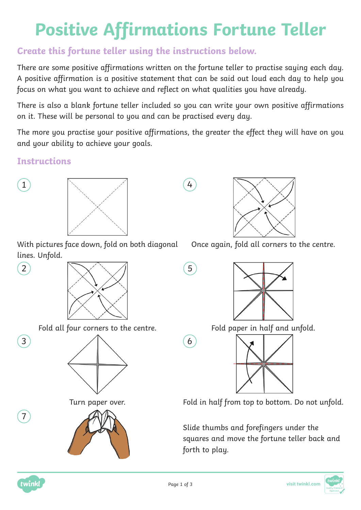## **Positive Affirmations Fortune Teller**

## **Create this fortune teller using the instructions below.**

There are some positive affirmations written on the fortune teller to practise saying each day. A positive affirmation is a positive statement that can be said out loud each day to help you focus on what you want to achieve and reflect on what qualities you have already.

There is also a blank fortune teller included so you can write your own positive affirmations on it. These will be personal to you and can be practised every day.

The more you practise your positive affirmations, the greater the effect they will have on you and your ability to achieve your goals.

## **Instructions**



3

7



With pictures face down, fold on both diagonal lines. Unfold.



Fold all four corners to the centre. The state of the paper in half and unfold.





Once again, fold all corners to the centre.





Turn paper over. Fold in half from top to bottom. Do not unfold.

Slide thumbs and forefingers under the squares and move the fortune teller back and forth to play.



6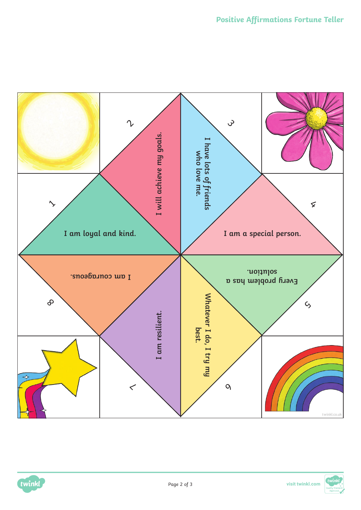